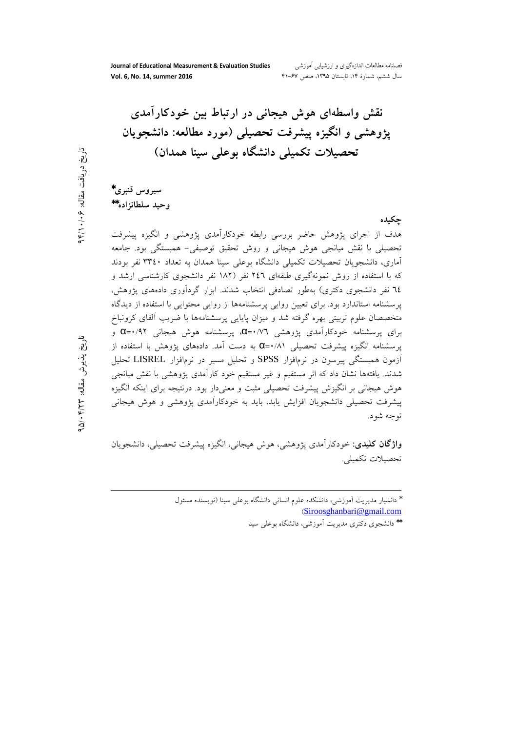Journal of Educational Measurement & Evaluation Studies Vol. 6, No. 14, summer 2016

فصلنامه مطالعات اندازهگیری و ارزشیایی آموزشی سال ششم، شمارهٔ ۱۴، تابستان ۱۳۹۵، صص ۶۷-۴۱

نقش واسطهای هوش هیجانی در ارتباط بین خودکارآمدی يژوهشي و انگيزه پيشرفت تحصيلي (مورد مطالعه: دانشجويان تحصیلات تکمیلی دانشگاه بوعلی سینا همدان)

سيروس قنبري\* وحيد سلطانزاده\*\*

## جكبده

هدف از اجرای یژوهش حاضر بررسی رابطه خودکارآمدی یژوهشی و انگیزه پیشرفت تحصیلی با نقش میانجی هوش هیجانی و روش تحقیق توصیفی– همبستگی بود. جامعه آماری، دانشجویان تحصیلات تکمیلی دانشگاه بوعلی سینا همدان به تعداد ۳۳٤۰ نفر بودند که با استفاده از روش نمونهگیری طبقهای ۲٤٦ نفر (۱۸۲ نفر دانشجوی کارشناسی ارشد و ۲٤ نفر دانشجوی دکتری) بهطور تصادفی انتخاب شدند. ابزار گردآوری دادههای پژوهش، یرسشنامه استاندارد بود. برای تعیین روایی پرسشنامهها از روایی محتوایی با استفاده از دیدگاه متخصصان علوم تربیتی بھرہ گرفته شد و میزان پایایی پرسشنامهها با ضریب آلفای کرونباخ برای پرسشنامه خودکارآمدی پژوهشی ۵(۰/۷۳ـ پرسشنامه هوش هیجانی ۹۲/+=Q و پرسشنامه انگیزه پیشرفت تحصیلی ۵۱/۱+Q به دست آمد. دادههای پژوهش با استفاده از آزمون همبستگی پیرسون در نرمافزار SPSS و تحلیل مسیر در نرمافزار LISREL تحلیل شدند. یافتهها نشان داد که اثر مستقیم و غیر مستقیم خود کارآمدی پژوهشی با نقش میانجی هوش هیجانی بر انگیزش پیشرفت تحصیلی مثبت و معنیدار بود. درنتیجه برای اینکه انگیزه پیشرفت تحصیلی دانشجویان افزایش یابد، باید به خودکارآمدی پژوهشی و هوش هیجانی توجه شود.

**واژگان کلیدی**: خودکارآمدی پژوهشی، هوش هیجانی، انگیزه پیشرفت تحصیلی، دانشجویان تحصيلات تكميلي.

> \* دانشیار مدیریت آموزشی، دانشکده علوم انسانی دانشگاه بوعلی سینا (نویسنده مسئول (Siroosghanbari@gmail.com

\*\* دانشجوی دکتری مدیریت آموزشی، دانشگاه بوعل<sub>ی</sub> سینا

تاريخ پذيرش مقاله: ۴/۲۳+۵/۰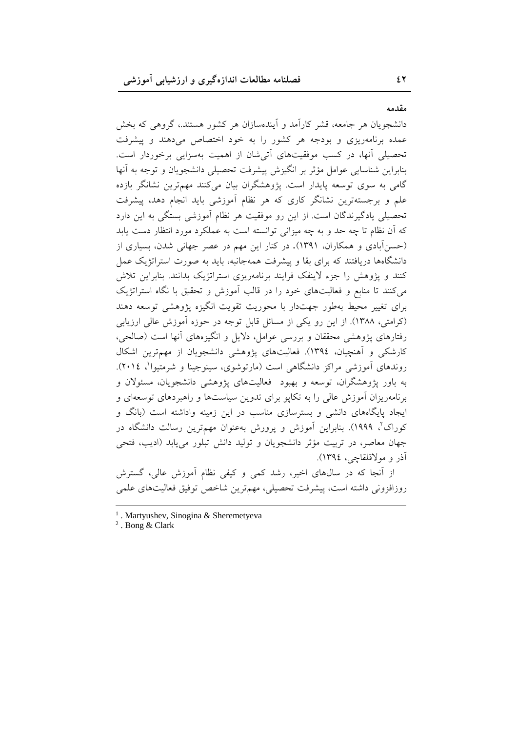مقدمه

دانشجویان هر جامعه، قشر کارآمد و آیندهسازان هر کشور هستند.، گروهی که بخش عمده برنامهریزی و بودجه هر کشور را به خود اختصاص می دهند و پیشرفت تحصیلی آنها، در کسب موفقیتهای آتی شان از اهمیت بهسزایی برخوردار است. بنابراین شناسایی عوامل مؤثر بر انگیزش پیشرفت تحصیلی دانشجویان و توجه به آنها گامی به سوی توسعه پایدار است. یژوهشگران بیان میکنند مهمترین نشانگر بازده علم و برجستهترین نشانگر کاری که هر نظام آموزشی باید انجام دهد، پیشرفت تحصیلی یادگیرندگان است. از این رو موفقیت هر نظام آموزشی بستگی به این دارد که آن نظام تا چه حد و به چه میزانی توانسته است به عملکرد مورد انتظار دست یابد (حسنآبادی و همکاران، ۱۳۹۱). در کنار این مهم در عصر جهانی شدن، بسیاری از دانشگاهها دریافتند که برای بقا و پیشرفت همهجانبه، باید به صورت استراتژیک عمل کنند و یژوهش را جزء لاینفک فرایند برنامهریزی استراتژیک بدانند. بنابراین تلاش می کنند تا منابع و فعالیتهای خود را در قالب آموزش و تحقیق با نگاه استراتژیک برای تغییر محیط بهطور جهتدار با محوریت تقویت انگیزه پژوهشی توسعه دهند (کرامتی، ۱۳۸۸). از این رو یکی از مسائل قابل توجه در حوزه آموزش عالی ارزیابی رفتارهای پژوهشی محققان و بررسی عوامل، دلایل و انگیزههای آنها است (صالحی، کارشکی و اَهنچیان، ۱۳۹٤). فعالیتهای پژوهشی دانشجویان از مهمترین اشکال روندهای آموزشی مراکز دانشگاهی است (مارتوشوی، سینوجینا و شرمتیوا<sup>\</sup>، ۲۰۱٤). به باور یژوهشگران، توسعه و بهبود فعالیتهای پژوهشی دانشجویان، مسئولان و برنامهریزان آموزش عالی را به تکایو برای تدوین سیاستها و راهبردهای توسعهای و ایجاد پایگاههای دانشی و بسترسازی مناسب در این زمینه واداشته است (بانگ و کوراک'، ۱۹۹۹). بنابراین اَموزش و پرورش بهعنوان مهمترین رسالت دانشگاه در جهان معاصر، در تربیت مؤثر دانشجویان و تولید دانش تبلور می یابد (ادیب، فتحی آذر و مولاقلقاچی، ١٣٩٤).

از آنجا که در سالهای اخیر، رشد کمی و کیفی نظام آموزش عالی، گسترش روزافزونی داشته است، پیشرفت تحصیلی، مهمترین شاخص توفیق فعالیتهای علمی

 $<sup>1</sup>$ . Martyushev, Sinogina & Sheremetyeva</sup>

 $^2$ . Bong & Clark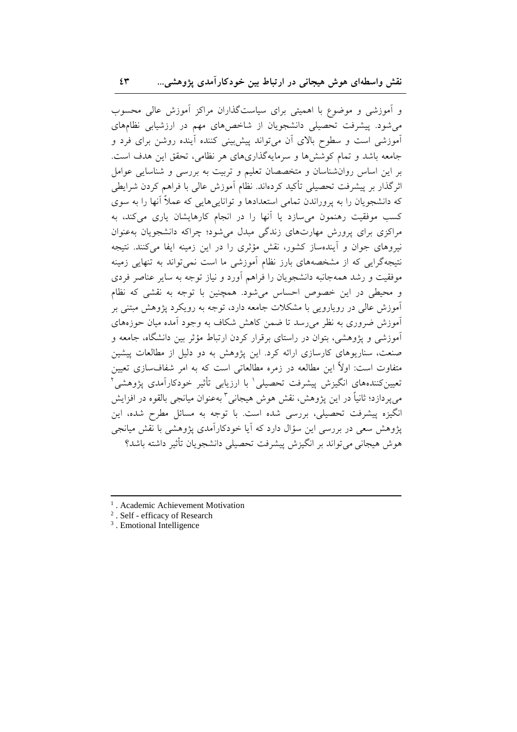و اَموزشی و موضوع با اهمیتی برای سیاستگذاران مراکز اَموزش عالی محسوب میشود. پیشرفت تحصیلی دانشجویان از شاخصهای مهم در ارزشیابی نظامهای ۔<br>آموزشی است و سطوح بالای آن می تواند پیش بینی کننده آینده روشن برای فرد و جامعه باشد و تمام کوشش ها و سرمایهگذاری های هر نظامی، تحقق این هدف است. بر این اساس روانشناسان و متخصصان تعلیم و تربیت به بررسی و شناسایی عوامل اثر گذار بر پیشرفت تحصیلی تأکید کردهاند. نظام آموزش عالی با فراهم کردن شرایطی که دانشجویان را به پروراندن تمامی استعدادها و تواناییهایی که عملاً آنها را به سوی کسب موفقیت رهنمون می سازد یا آنها را در انجام کارهایشان یاری میکند، به مراکزی برای پرورش مهارتهای زندگی مبدل میشود؛ چراکه دانشجویان بهعنوان نیروهای جوان و اَیندهساز کشور، نقش مؤثری را در این زمینه ایفا میکنند. نتیجه نتیجهگرایی که از مشخصههای بارز نظام آموزشی ما است نمی تواند به تنهایی زمینه موفقیت و رشد همهجانبه دانشجویان را فراهم آورد و نیاز توجه به سایر عناصر فردی و محیطی در این خصوص احساس می شود. همچنین با توجه به نقشی که نظام آموزش عالی در رویارویی با مشکلات جامعه دارد، توجه به رویکرد پژوهش مبتنی بر آموزش ضروری به نظر می رسد تا ضمن کاهش شکاف به وجود آمده میان حوزههای آموزشی و پژوهشی، بتوان در راستای برقرار کردن ارتباط مؤثر بین دانشگاه، جامعه و صنعت، سناریوهای کارسازی ارائه کرد. این یژوهش به دو دلیل از مطالعات پیشین متفاوت است: اولاً این مطالعه در زمره مطالعاتی است که به امر شفافسازی تعیین تعیینکنندههای انگیزش پیشرفت تحصیلی<sup>י</sup> با ارزیابی تأثیر خودکارآم*د*ی پژوهشی<sup>۲</sup> مي پردازد؛ ثانياً در اين پژوهش، نقش هوش هيجاني " بهعنوان ميانجي بالقوه در افزايش انگیزه پیشرفت تحصیلی، بررسی شده است. با توجه به مسائل مطرح شده، این پژوهش سعی در بررسی این سؤال دارد که آیا خودکارآمدی پژوهشی با نقش میانجی هوش هيجاني مي تواند بر انگيزش پيشرفت تحصيلي دانشجويان تأثير داشته باشد؟

- <sup>2</sup>. Self efficacy of Research
- <sup>3</sup>. Emotional Intelligence

<sup>&</sup>lt;sup>1</sup>. Academic Achievement Motivation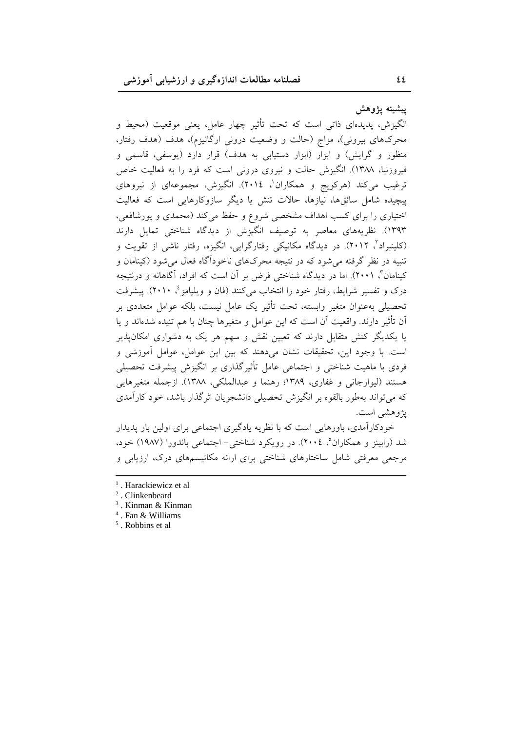ييشينه يژوهش

انگیزش، پدیدهای ذاتی است که تحت تأثیر چهار عامل، یعنی موقعیت (محیط و محرکهای بیرونی)، مزاج (حالت و وضعیت درونی ارگانیزم)، هدف (هدف رفتار، منظور و گرایش) و ابزار (ابزار دستیابی به هدف) قرار دارد (یوسفی، قاسمی و فیروزنیا، ۱۳۸۸). انگیزش حالت و نیروی درونی است که فرد را به فعالیت خاص ترغیب میکند (هرکویج و همکاران'، ۲۰۱٤). انگیزش، مجموعهای از نیروهای پیچیده شامل سائقها، نیازها، حالات تنش یا دیگر سازوکارهایی است که فعالیت اختیاری را برای کسب اهداف مشخصی شروع و حفظ می کند (محمدی و پورشافعی، ۱۳۹۳). نظریههای معاصر به توصیف انگیزش از دیدگاه شناختی تمایل دارند (کلینبراد٬ ۲۰۱۲). در دیدگاه مکانیکی رفتارگرایی، انگیزه، رفتار ناشی از تقویت و تنبیه در نظر گرفته می شود که در نتیجه محرکهای ناخوداًگاه فعال می شود (کینامان و کینامان"، ۲۰۰۱). اما در دیدگاه شناختی فرض بر آن است که افراد، آگاهانه و درنتیجه درک و تفسیر شرایط، رفتار خود را انتخاب میکنند (فان و ویلپامز <sup>؛</sup>، ۲۰۱۰). پیشرفت تحصیلی بهعنوان متغیر وابسته، تحت تأثیر یک عامل نیست، بلکه عوامل متعددی بر اّن تأثیر دارند. واقعیت اّن است که این عوامل و متغیرها چنان با هم تنیده شدهاند و یا یا یکدیگر کنش متقابل دارند که تعیین نقش و سهم هر یک به دشواری امکانپذیر است. با وجود این، تحقیقات نشان میدهند که بین این عوامل، عوامل آموزشی و فردی با ماهیت شناختی و اجتماعی عامل تأثیر گذاری بر انگیزش پیشرفت تحصیلی هستند (ليوارجاني و غفاري، ١٣٨٩؛ رهنما و عبدالملكي، ١٣٨٨). ازجمله متغيرهايي که می تواند بهطور بالقوه بر انگیزش تحصیلی دانشجویان اثر گذار باشد، خود کارآمدی پژوهشی است.

خودکارآمدی، باورهایی است که با نظریه یادگیری اجتماعی برای اولین بار یدیدار شد (رابينز و همکاران°، ٢٠٠٤). در رويکرد شناختي- اجتماعي باندورا (١٩٨٧) خود، مرجعی معرفتی شامل ساختارهای شناختی برای ارائه مکانیسمهای درک، ارزیابی و

<sup>&</sup>lt;sup>1</sup>. Harackiewicz et al

<sup>&</sup>lt;sup>2</sup>. Clinkenbeard

<sup>&</sup>lt;sup>3</sup>. Kinman & Kinman

 $4$ . Fan & Williams

<sup>&</sup>lt;sup>5</sup>. Robbins et al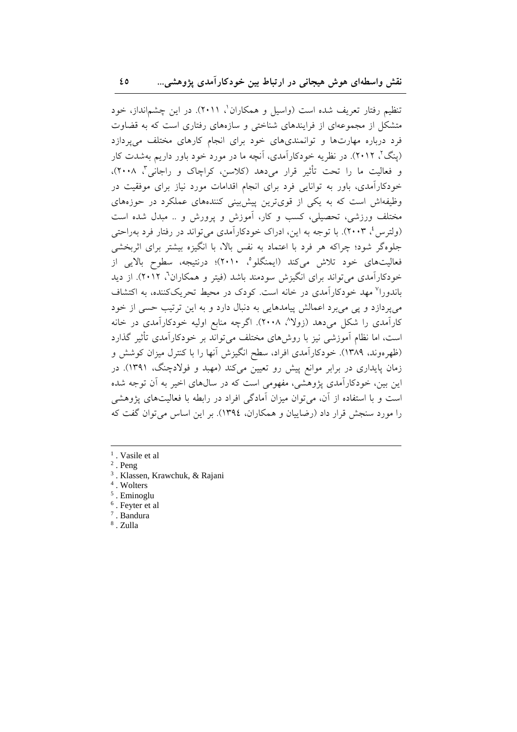تنظیم رفتار تعریف شده است (واسیل و همکاران'، ۲۰۱۱). در این چشمانداز، خود متشکل از مجموعهای از فرایندهای شناختی و سازههای رفتاری است که به قضاوت فرد درباره مهارتها و توانمندیهای خود برای انجام کارهای مختلف می پردازد (پنگ'، ۲۰۱۲). در نظریه خودکارآمدی، آنچه ما در مورد خود باور داریم بهشدت کار و فعالیت ما را تحت تأثیر قرار میدهد (کلاسن، کراچاک و راجانی"، ۲۰۰۸)، خودکارآمدی، باور به توانایی فرد برای انجام اقدامات مورد نیاز برای موفقیت در وظیفهاش است که به یکی از قویترین پیش بینی کنندههای عملکرد در حوزههای مختلف ورزشي، تحصيلي، كسب و كار، آموزش و پرورش و .. ميدل شده است (ولترس ٔ، ۲۰۰۳). با توجه به این، ادراک خودکارآمدی میتواند در رفتار فرد بهراحتی جلوهگر شود؛ چراکه هر فرد با اعتماد به نفس بالا، با انگیزه بیشتر برای اثربخشی فعالیتهای خود تلاش میکند (ایمنگلو°، ۲۰۱۰)؛ درنتیجه، سطوح بالایی از خودکارآمدی می تواند برای انگیزش سودمند باشد (فیتر و همکاران<sup>7</sup>، ۲۰۱۲). از دید باندورا<sup>۷</sup> مهد خودکارآمدی در خانه است. کودک در محیط تحریککننده، به اکتشاف می پردازد و یی می برد اعمالش پیامدهایی به دنبال دارد و به این ترتیب حسی از خود کارآمدی را شکل می دهد (زولا^، ۲۰۰۸). اگرچه منابع اولیه خودکارآمدی در خانه است، اما نظام آموزشی نیز با روش۵ای مختلف میتواند بر خودکارآمدی تأثیر گذارد (ظهرهوند، ۱۳۸۹). خودکارآمدی افراد، سطح انگیزش آنها را با کنترل میزان کوشش و زمان پایداری در برابر موانع پیش رو تعیین میکند (مهبد و فولادچنگ، ۱۳۹۱). در این بین، خودکارآمدی پژوهشی، مفهومی است که در سال های اخیر به آن توجه شده است و با استفاده از آن، می توان میزان آمادگی افراد در رابطه با فعالیتهای پژوهشی را مورد سنجش قرار داد (رضایبان و همکاران، ۱۳۹٤). بر این اساس می توان گفت که

- $<sup>1</sup>$ . Vasile et al</sup>
- $2$ . Peng
- <sup>3</sup>. Klassen, Krawchuk, & Rajani
- <sup>4</sup>. Wolters
- $5$ . Eminoglu
- <sup>6</sup>. Feyter et al
- $7.$  Bandura <sup>8</sup>. Zulla
-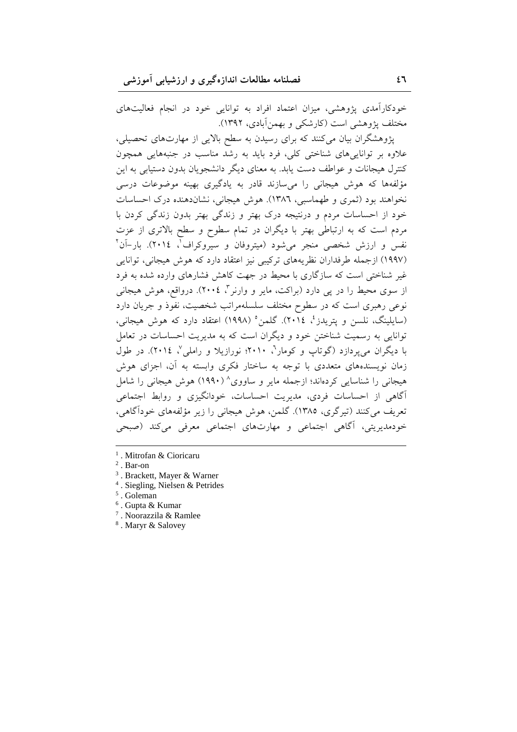خودکارآمدی پژوهشی، میزان اعتماد افراد به توانایی خود در انجام فعالیتهای مختلف پژوهشی است (کارشکی و بهمنآبادی، ۱۳۹۲).

پژوهشگران بیان میکنند که برای رسیدن به سطح بالایی از مهارتهای تحصیلی، علاوه بر تواناییهای شناختی کلی، فرد باید به رشد مناسب در جنبههایی همچون کنترل هیجانات و عواطف دست یابد. به معنای دیگر دانشجویان بدون دستیابی به این مؤلفهها که هوش هیجانی را میسازند قادر به یادگیری بهینه موضوعات درسی نخواهند بود (ثمري و طهماسبي، ١٣٨٦). هوش هيجاني، نشان(دهنده درک احساسات خود از احساسات مردم و درنتیجه درک بهتر و زندگی بهتر بدون زندگی کردن با مردم است که به ارتباطی بهتر با دیگران در تمام سطوح و سطح بالاتری از عزت نفس و ارزش شخصی منجر میشود (میتروفان و سیروکراف<sup>7</sup>، ۲۰۱٤). بار–آن<sup>۲</sup> (۱۹۹۷) ازجمله طرفداران نظریههای ترکیبی نیز اعتقاد دارد که هوش هیجانی، توانایی غیر شناختی است که سازگاری با محیط در جهت کاهش فشارهای وارده شده به فرد از سوی محیط را در پی دارد (براکت، مایر و وارنر "، ٢٠٠٤). درواقع، هوش هیجانی نوعی رهبری است که در سطوح مختلف سلسلهمراتب شخصیت، نفوذ و جریان دارد (سايلينگ، نلسن و يتريدز، ٢٠١٤). گلمن (١٩٩٨) اعتقاد دارد كه هوش هيجاني، توانایی به رسمیت شناختن خود و دیگران است که به مدیریت احساسات در تعامل با دیگران می پردازد (گوتاپ و کومار<sup>ت</sup>، ۲۰۱۰؛ نورازیلا و راملی <sup>۷</sup>، ۲۰۱٤). در طول زمان نویسندههای متعددی با توجه به ساختار فکری وابسته به آن، اجزای هوش هیجانی را شناسایی کردهاند؛ ازجمله مایر و ساووی^ (۱۹۹۰) هوش هیجانی را شامل آگاهی از احساسات فردی، مدیریت احساسات، خودانگیزی و روابط اجتماعی تعریف می کنند (تیرگری، ۱۳۸۵). گلمن، هوش هیجانی را زیر مؤلفههای خودآگاهی، خودمدیریتی، آگاهی اجتماعی و مهارتهای اجتماعی معرفی میکند (صبحی

<sup>1</sup>. Mitrofan & Cioricaru

- <sup>3</sup>. Brackett, Mayer & Warner
- $4$ . Siegling, Nielsen & Petrides
- $5$ . Goleman
- <sup>6</sup>. Gupta & Kumar
- <sup>7</sup>. Noorazzila & Ramlee
- <sup>8</sup>. Maryr & Salovey

 $2$ . Bar-on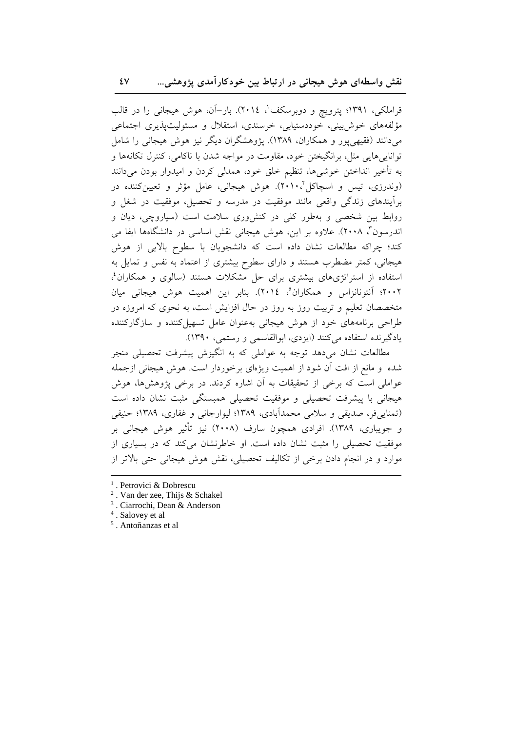قراملکی، ۱۳۹۱؛ پترویچ و دوبرسکف'، ۲۰۱٤). بار–آن، هوش هیجانی را در قالب مؤلفههای خوش بینی، خوددستیابی، خرسندی، استقلال و مسئولیتیذیری اجتماعی میدانند (فقیهی یور و همکاران، ۱۳۸۹). یژوهشگران دیگر نیز هوش هیجانی را شامل توانايي هايي مثل، برانگيختن خود، مقاومت در مواجه شدن با ناكامي، كنترل تكانهها و به تأخیر انداختن خوشیها، تنظیم خلق خود، همدلی کردن و امیدوار بودن میدانند (وندرزی، تیس و اسچاکل'۱۰، ۲۰۱۰). هوش هیجانی، عامل مؤثر و تعیینکننده در برأيندهاي زندگي واقعي مانند موفقيت در مدرسه و تحصيل، موفقيت در شغل و روابط بین شخصی و بهطور کلی در کنش وری سلامت است (سیاروچی، دیان و اندرسون"، ۲۰۰۸). علاوه بر این، هوش هیجانی نقش اساسی در دانشگاهها ایفا می کند؛ چراکه مطالعات نشان داده است که دانشجویان با سطوح بالایی از هوش هیجانی، کمتر مضطرب هستند و دارای سطوح بیشتری از اعتماد به نفس و تمایل به استفاده از استراتژیهای بیشتری برای حل مشکلات هستند (سالوی و همکاران<sup>؛</sup>، ۲۰۰۲؛ آنتونانزاس و همکاران°، ۲۰۱٤). بنابر این اهمیت هوش هیجانی میان متخصصان تعلیم و تربیت روز به روز در حال افزایش است، به نحوی که امروزه در طراحی برنامههای خود از هوش هیجانی بهعنوان عامل تسهیل کننده و سازگارکننده یادگیرنده استفاده می کنند (ایزدی، ابوالقاسمی و رستمی، ۱۳۹۰).

مطالعات نشان می دهد توجه به عواملی که به انگیزش پیشرفت تحصیلی منجر شده و مانع از افت آن شود از اهمیت ویژهای برخوردار است. هوش هیجانی ازجمله عواملی است که برخی از تحقیقات به آن اشاره کردند. در برخی پژوهشها، هوش هیجانی با پیشرفت تحصیلی و موفقیت تحصیلی همبستگی مثبت نشان داده است (تمنایے فر، صدیقی و سلامی محمدآبادی، ۱۳۸۹؛ لیوارجانی و غفاری، ۱۳۸۹؛ حنیفی و جویباری، ۱۳۸۹). افرادی همچون سارف (۲۰۰۸) نیز تأثیر هوش هیجانی بر موفقیت تحصیلی را مثبت نشان داده است. او خاطرنشان میکند که در بسیاری از موارد و در انجام دادن برخی از تکالیف تحصیلی، نقش هوش هیجانی حتی بالاتر از

<sup>&</sup>lt;sup>1</sup>. Petrovici & Dobrescu

<sup>&</sup>lt;sup>2</sup>. Van der zee, Thijs & Schakel

<sup>&</sup>lt;sup>3</sup>. Ciarrochi, Dean & Anderson

<sup>&</sup>lt;sup>4</sup>. Salovey et al

 $^5$ . Antoñanzas et al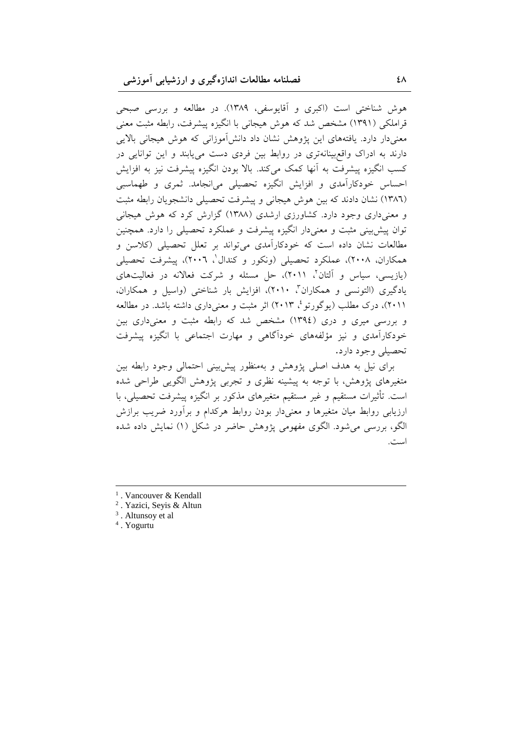هوش شناختی است (اکبری و آقایوسفی، ۱۳۸۹). در مطالعه و بررسی صبحی قراملکی (۱۳۹۱) مشخص شد که هوش هیجانی با انگیزه پیشرفت، رابطه مثبت معنی معنیدار دارد. یافتههای این پژوهش نشان داد دانش[موزانی که هوش هیجانی بالایی دارند به ادراک واقع بینانهتری در روابط بین فردی دست می یابند و این توانایی در كسب انگيزه پيشرفت به آنها كمك ميكند. بالا بودن انگيزه پيشرفت نيز به افزايش احساس خودکارآمدی و افزایش انگیزه تحصیلی میانجامد. ثمری و طهماسبی (١٣٨٦) نشان دادند كه بين هوش هيجاني و پيشرفت تحصيلي دانشجويان رابطه مثبت و معنیداری وجود دارد. کشاورزی ارشدی (۱۳۸۸) گزارش کرد که هوش هیجانی توان پیش بینی مثبت و معنیدار انگیزه پیشرفت و عملکرد تحصیلی را دارد. همچنین مطالعات نشان داده است که خودکارآمدی میتواند بر تعلل تحصیلی (کلاسن و همکاران، ۲۰۰۸)، عملکرد تحصیلی (ونکور و کندال'، ۲۰۰٦)، پیشرفت تحصیلی (یازیسی، سیاس و آلتان'، ۲۰۱۱)، حل مسئله و شرکت فعالانه در فعالیتهای یادگیری (التونسی و همکاران"، ۲۰۱۰)، افزایش بار شناختی (واسیل و همکاران، ۲۰۱۱)، درک مطلب (یوگورتو<sup>،</sup> ۲۰۱۳) اثر مثبت و معنی۵اری داشته باشد. در مطالعه و بررسی میری و دری (١٣٩٤) مشخص شد که رابطه مثبت و معنی داری بین خودکارآمدی و نیز مؤلفههای خودآگاهی و مهارت اجتماعی با انگیزه پیشرفت تحصيلي وجود دارد.

برای نیل به هدف اصلی پژوهش و بهمنظور پیشبینی احتمالی وجود رابطه بین متغیرهای پژوهش، با توجه به پیشینه نظری و تجربی پژوهش الگویی طراحی شده است. تأثيرات مستقيم و غير مستقيم متغيرهاي مذكور بر انگيزه ييشرفت تحصيلي، با ارزیابی روابط میان متغیرها و معنیدار بودن روابط هرکدام و براورد ضریب برازش لگو، بررسی میشود. الگوی مفهومی پژوهش حاضر در شکل (۱) نمایش داده شده  $\overline{a}$ است.

<sup>&</sup>lt;sup>1</sup>. Vancouver & Kendall

<sup>2</sup> . Yazici, Seyis & Altun

<sup>&</sup>lt;sup>3</sup>. Altunsoy et al

<sup>4</sup> . Yogurtu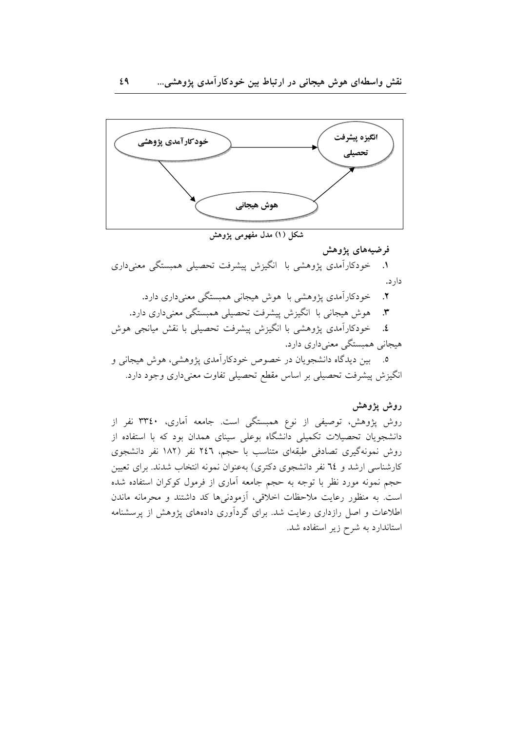

شکل (۱) مدل مفهومی پژوهش

## فرضيههای یژوهش

١. خودکارآمدی پژوهشی با انگیزش پیشرفت تحصیلی همبستگی معنیداری دار د.

خودکارآمدی پژوهشی با هوش هیجانی همبستگی معنیداری دارد.  $\cdot$ هوش هیجانی با انگیزش پیشرفت تحصیلی همبستگی معنیداری دارد.  $\mathbf{r}$ ٤. خودکارآمدی یژوهشی با انگیزش پیشرفت تحصیلی با نقش میانجی هوش هیجانی همبستگی معنیداری دارد. ۵. پین دیدگاه دانشجویان در خصوص خودکارآمدی پژوهشی، هوش هیجانی و انگیزش پیشرفت تحصیلی بر اساس مقطع تحصیلی تفاوت معنیداری وجود دارد.

## روش يژوهش

روش پژوهش، توصیفی از نوع همبستگی است. جامعه آماری، ۳۳٤۰ نفر از دانشجویان تحصیلات تکمیلی دانشگاه بوعلی سینای همدان بود که با استفاده از روش نمونهگیری تصادفی طبقهای متناسب با حجم، ٢٤٦ نفر (١٨٢ نفر دانشجوی کارشناسی ارشد و ۲٤ نفر دانشجوی دکتری) بهعنوان نمونه انتخاب شدند. برای تعیین حجم نمونه مورد نظر با توجه به حجم جامعه آماری از فرمول کوکران استفاده شده است. به منظور رعایت ملاحظات اخلاقی، آزمودنیها کد داشتند و محرمانه ماندن اطلاعات و اصل رازداری رعایت شد. برای گردآوری دادههای پژوهش از پرسشنامه استاندارد به شرح زیر استفاده شد.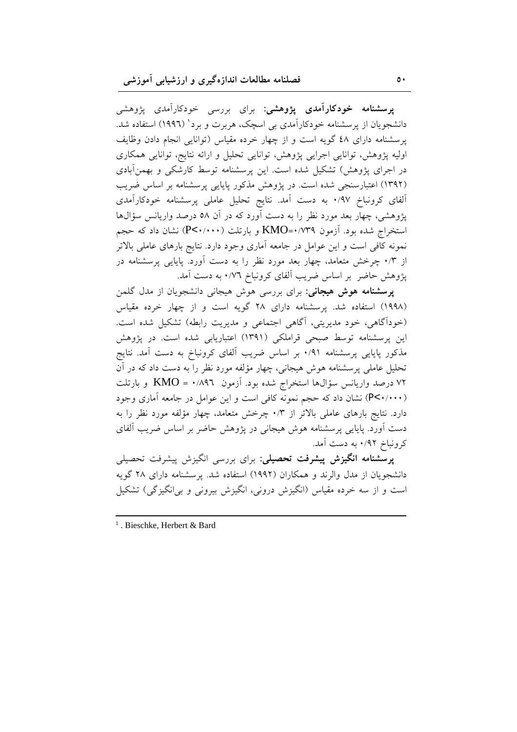**پرسشنامه خودکارآمدی پژوهشی**: برای بررسی خودکارآمدی پژوهشی دانشجویان از پرسشنامه خودکارآمدی بی اسچک، هربرت و برد<sup>ا</sup> (۱۹۹۲) استفاده شد. یرسشنامه دارای ٤٨ گویه است و از چهار خرده مقیاس (توانایی انجام دادن وظایف اولیه پژوهش، توانایی اجرایی پژوهش، توانایی تحلیل و ارائه نتایج، توانایی همکاری در اجرای پژوهش) تشکیل شده است. این پرسشنامه توسط کارشکی و بهمنآبادی (۱۳۹۲) اعتبارسنجی شده است. در یژوهش مذکور پایایی پرسشنامه بر اساس ضریب آلفای کرونباخ ۰/۹۷ به دست آمد. نتایج تحلیل عاملی پرسشنامه خودکارآمدی پژوهشی، چهار بعد مورد نظر را به دست آورد که در آن ۵۸ درصد واریانس سؤال&ا استخراج شده بود. آزمون KMO=۰/۷۳۹ و بارتلت (P<۰/۰۰۰) نشان داد که حجم نمونه کافی است و این عوامل در جامعه آماری وجود دارد. نتایج بارهای عاملی بالاتر از ۰/۳ چرخش متعامد، چهار بعد مورد نظر را به دست آورد. پایایی پرسشنامه در پژوهش حاضر بر اساس ضریب آلفای کرونباخ ۰/۷٦ به دست آمد.

**پرسشنامه هوش هیجانی**: برای بررسی هوش هیجانی دانشجویان از مدل گلمن (۱۹۹۸) استفاده شد. پرسشنامه دارای ۲۸ گویه است و از چهار خرده مقیاس (خوداًگاهی، خود مدیریتی، آگاهی اجتماعی و مدیریت رابطه) تشکیل شده است. این پرسشنامه توسط صبحی قراملکی (۱۳۹۱) اعتباریابی شده است. در پژوهش مذکور پایایی پرسشنامه ۰/۹۱ بر اساس ضریب آلفای کرونباخ به دست آمد. نتایج تحلیل عاملی پرسشنامه هوش هیجانی، چهار مؤلفه مورد نظر را به دست داد که در آن ۷۲ درصد واریانس سؤال۱ها استخراج شده بود. آزمون ۱٬۸۹۲ = KMO و بارتلت (P<۰/۰۰۰) نشان داد که حجم نمونه کافی است و این عوامل در جامعه آماری وجود دارد. نتایج بارهای عاملی بالاتر از ۰/۳ چرخش متعامد، چهار مؤلفه مورد نظر را به دست آورد. پایایی پرسشنامه هوش هیجانی در پژوهش حاضر بر اساس ضریب آلفای کرونباخ ۰/۹۲ به دست آمد.

پرسشنامه انگیزش پیشرفت تحصیلی: برای بررسی انگیزش پیشرفت تحصیلی دانشجو بان از مدل والرند و همکاران (۱۹۹۲) استفاده شد. پرسشنامه دارای ۲۸ گویه است و از سه خرده مقیاس (انگیزش درونی، انگیزش بیرونی و بی\نگیزگی) تشکیل

<sup>1</sup>. Bieschke, Herbert & Bard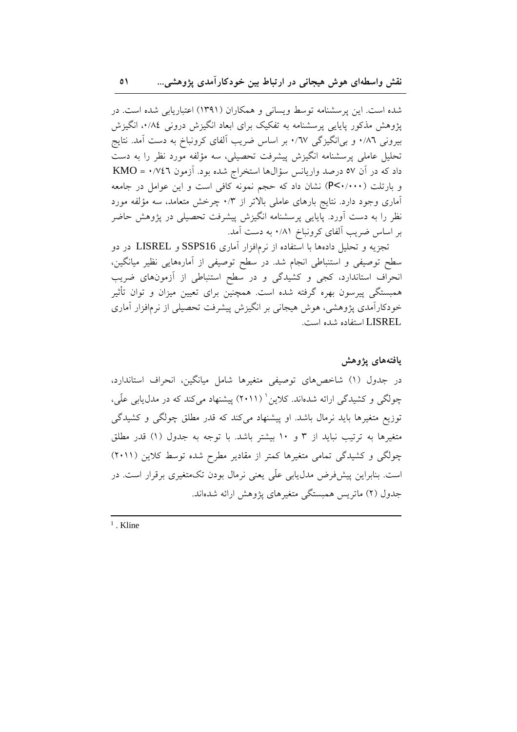شده است. این پرسشنامه توسط ویسانی و همکاران (۱۳۹۱) اعتباریابی شده است. در یژوهش مذکور پایایی پرسشنامه به تفکیک برای ابعاد انگیزش درونی ۰/۸٤، انگیزش بیرونی ۰/۸٦ و بیانگیزگی ۰/٦٧ بر اساس ضریب آلفای کرونباخ به دست آمد. نتایج تحلیل عاملی پرسشنامه انگیزش پیشرفت تحصیلی، سه مؤلفه مورد نظر را به دست داد که در آن ٥٧ درصد واریانس سؤالها استخراج شده بود. آزمون ٢٤٣/٠ = KMO و بارتلت (P<۰/۰۰۰) نشان داد که حجم نمونه کافی است و این عوامل در جامعه آماری وجود دارد. نتایج بارهای عاملی بالاتر از ۰/۳ چرخش متعامد، سه مؤلفه مورد نظر را به دست آورد. پایایی پرسشنامه انگیزش پیشرفت تحصیلی در پژوهش حاضر بر اساس ضریب الفای کرونباخ ۰/۸۱ به دست آمد.

تجزیه و تحلیل دادهها با استفاده از نرمافزار آماری SSPS16 و LISREL در دو سطح توصیفی و استنباطی انجام شد. در سطح توصیفی از آمارههایی نظیر میانگین، انحراف استاندارد، کجی و کشیدگی و در سطح استنباطی از آزمونهای ضریب همبستگی پیرسون بهره گرفته شده است. همچنین برای تعیین میزان و توان تأثیر خودکارآمدی پژوهشی، هوش هیجانی بر انگیزش پیشرفت تحصیلی از نرمافزار آماری LISREL استفاده شده است.

يافتههاى يژوهش در جدول (۱) شاخصهای توصیفی متغیرها شامل میانگین، انحراف استاندارد، چولگی و کشیدگی ارائه شدهاند. کلاین' (۲۰۱۱) پیشنهاد میکند که در مدل یابی علّی، ۔<br>توزیع متغیرہا باید نرمال باشد. او پیشنھاد میکند که قدر مطلق چولگی و کشیدگی متغیرها به ترتیب نباید از ۳ و ۱۰ بیشتر باشد. با توجه به جدول (۱) قدر مطلق چولگی و کشیدگی تمامی متغیرها کمتر از مقادیر مطرح شده توسط کلاین (۲۰۱۱) است. بنابراین پیشفرض مدل،یابی علّی یعنی نرمال بودن تکمتغیری برقرار است. در جدول (۲) ماتریس همبستگی متغیرهای یژوهش ارائه شدهاند.

 $<sup>1</sup>$ . Kline</sup>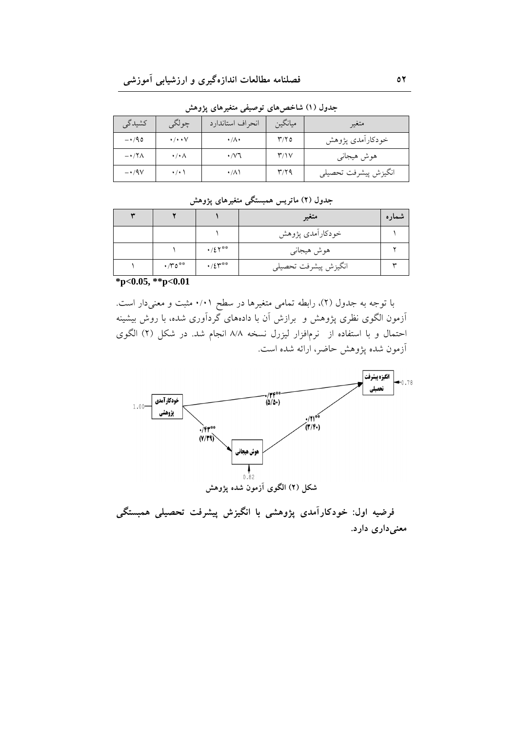| كشيدگى               | چولگی                  | انحراف استاندارد            | ميانگين                   | متغير                |
|----------------------|------------------------|-----------------------------|---------------------------|----------------------|
| $-140$               | $\cdot/\cdot\cdot\vee$ | $\cdot/\Lambda$             | $\mathbf{r}/\mathbf{r}$ 0 | خودكارأمدى پژوهش     |
| $-\cdot$ /۲ $\wedge$ | $\cdot/\cdot \wedge$   | $\cdot$ / $\vee$ $\uparrow$ | $\mathsf{r}/\mathsf{v}$   | هوش هيجاني           |
| $-4/9V$              | $\cdot$ / $\cdot$ \    | $\cdot/\lambda$             | $\mathbf{r}/\mathbf{r}$   | انگيزش پيشرفت تحصيلي |

جدول (۱) شاخصهای توصیفی متغیرهای پژوهش

| ------<br>. |                              |                         |                      |             |  |  |  |  |
|-------------|------------------------------|-------------------------|----------------------|-------------|--|--|--|--|
|             |                              |                         | متغير                | نىمارە      |  |  |  |  |
|             |                              |                         | خودكارأمدى پژوهش     |             |  |  |  |  |
|             |                              | $\cdot/27***$           | هوش هيجاني           |             |  |  |  |  |
|             | $\cdot$ / $\mathsf{YO}^{**}$ | $\cdot / \xi \gamma$ ** | انگيزش پيشرفت تحصيلي | $\check{ }$ |  |  |  |  |

۔<br>جدول (۲) ماتریس همبستگی متغیرهای یژوهش

 $*_{\mathbf{D} < 0.05}$ ,  $*_{\mathbf{D} < 0.01}$ 

با توجه به جدول (٢)، رابطه تمامی متغیرها در سطح ۰/۰۱ مثبت و معنیدار است. اَزمون الگوی نظری پژوهش و برازش اَن با دادههای گرداَوری شده، با روش بیشینه احتمال و با استفاده از نرمافزار لیزرل نسخه ۸/۸ انجام شد. در شکل (۲) الگوی آزمون شده پژوهش حاضر، ارائه شده است.



فرضیه اول: خودکارآمدی پژوهشی با انگیزش پیشرفت تحصیلی همبستگی معنی داری دارد.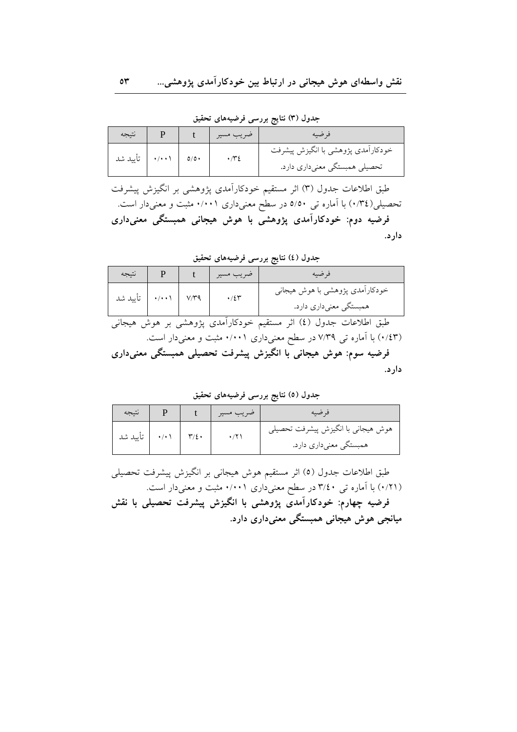جدول (۳) نتایج بررسی فرضیههای تحقیق

| نتيجه    |                    |     | ضريب مسير | قر ضيه                                                              |
|----------|--------------------|-----|-----------|---------------------------------------------------------------------|
| تأييد شد | $\cdot/\cdot\cdot$ | 0/0 |           | خودکارآمدی پژوهشی با انگیزش پیشرفت<br>تحصیلی همبستگی معنیداری دارد. |

طبق اطلاعات جدول (٣) اثر مستقیم خودکارآمدی پژوهشی بر انگیزش پیشرفت تحصیلی( ۰/۳٤) با آماره تی ۵/۵۰ در سطح معنیداری ۰/۰۰۱ مثبت و معنیدار است. فرضیه دوم: خودکارآمدی پژوهشی با هوش هیجانی همبستگی معنیداری دار د.

جدول (٤) نتايج بررسي فرضيههاي تحقيق

| نتيجه         |                    |      | ضريب مسير         | فر ضيه                                                                                                                                                                                                                                                                                        |
|---------------|--------------------|------|-------------------|-----------------------------------------------------------------------------------------------------------------------------------------------------------------------------------------------------------------------------------------------------------------------------------------------|
| تأييد شد      | $\cdot/\cdot\cdot$ | V/T9 | $\cdot$ /2 $\tau$ | خودکارآمدی پژوهشی با هوش هیجانی<br>همبستگی معنیداری دارد.                                                                                                                                                                                                                                     |
| アイレー・エー・エヌ エー |                    |      |                   | $\frac{1}{2}$ and $\frac{1}{2}$ and $\frac{1}{2}$ and $\frac{1}{2}$ and $\frac{1}{2}$ and $\frac{1}{2}$ and $\frac{1}{2}$ and $\frac{1}{2}$ and $\frac{1}{2}$ and $\frac{1}{2}$ and $\frac{1}{2}$ and $\frac{1}{2}$ and $\frac{1}{2}$ and $\frac{1}{2}$ and $\frac{1}{2}$ and $\frac{1}{2}$ a |

طبق اطلاعات جدول (٤) اثر مستقیم خودکارامدی پژوهشی بر هوش هیجانی (۰/٤٣) با آماره تبی ۷/۳۹ در سطح معنیداری ۰/۰۰۱ مثبت و معنیدار است. فرضیه سوم: هوش هیجانی با انگیزش پیشرفت تحصیلی همبستگی معنیداری

دارد.

جدول (٥) نتايج بررسي فرضيههاي تحقيق

| نتيجه    |           |                                                              |
|----------|-----------|--------------------------------------------------------------|
| تأييد شد | $v/\xi$ . | هوش هیجانی با انگیزش پیشرفت تحصیلی<br>همبستگی معنیداری دارد. |

طبق اطلاعات جدول (٥) اثر مستقیم هوش هیجانی بر انگیزش پیشرفت تحصیلی (۰/۲۱) با آماره تبی ۳/٤٠ در سطح معنیداری ۰/۰۰۱ مثبت و معنیدار است. فرضیه چهارم: خودکارآمدی پژوهشی با انگیزش پیشرفت تحصیلی با نقش میانجی هوش هیجانی همبستگی معنیداری دارد.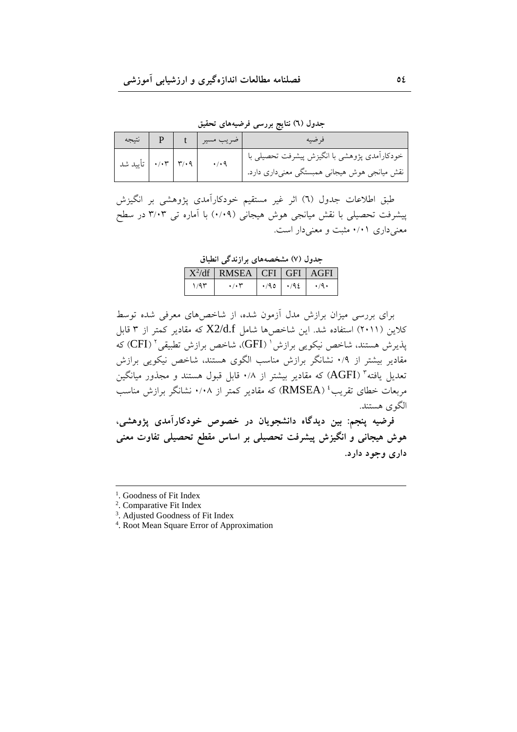جدول (٦) نتایج بررس*ی* فرضیههای تحقیق

| P   نتيجه              |  | خىريب مسير   t | فرضيه                                                                                                     |
|------------------------|--|----------------|-----------------------------------------------------------------------------------------------------------|
| ۳/۰۹   ۰/۰۳   تأیید شد |  |                | خودکارآمدی پژوهشی با انگیزش پیشرفت تحصیلی با <sup>1</sup><br>نقش میانجی هوش هیجانی همبستگی معنیداری دارد. |

طبق اطلاعات جدول (٦) اثر غير مستقيم خودكارآمدى پژوهشى بر انگيزش پیشرفت تحصیلی با نقش میانجی هوش هیجانی (۰/۰۹) با آماره تی ۳/۰۳ در سطح معنی داری ۰/۰۱ مثبت و معنی دار است.

جدول (۷) مشخصههای برازندگی انطباق

|      | $X^2/df$ RMSEA CFI GFI AGFI |                         |                    |
|------|-----------------------------|-------------------------|--------------------|
| ۱/۹۳ | $\cdot$ / $\cdot$ $\cdot$   | $\cdot$ /90 $\cdot$ /92 | $\cdot$ /9 $\cdot$ |

برای بررسی میزان برازش مدل أزمون شده، از شاخصهای معرفی شده توسط کلاین (۲۰۱۱) استفاده شد. این شاخصها شامل  $X2/\rm{d.f}$  که مقادیر کمتر از ۳ قابل پذیرش هستند، شاخص نیکویی برازش ' (GFI)، شاخص برازش تطبیقی ' (CFI) که مقادیر بیشتر از ۰/۹ نشانگر برازش مناسب الگوی هستند، شاخص نیکویی برازش تعدیل یافته" (AGFI) که مقادیر بیشتر از ۰/۸ قابل قبول هستند و مجذور میانگین مربعات خطای تقریب<sup>،</sup> (RMSEA) که مقادیر کمتر از ۰/۰۸ نشانگر برازش مناسب الگو ي هستند.  $\overline{a}$ 

فرضیه پنجم: بین دیدگاه دانشجویان در خصوص خودکارامدی پژوهشی، هوش هیجانی و انگیزش پیشرفت تحصیلی بر اساس مقطع تحصیلی تفاوت معنی داري وجو د دارد.

<sup>&</sup>lt;sup>1</sup>. Goodness of Fit Index

<sup>2</sup> . Comparative Fit Index

<sup>3</sup> . Adjusted Goodness of Fit Index

<sup>4</sup> . Root Mean Square Error of Approximation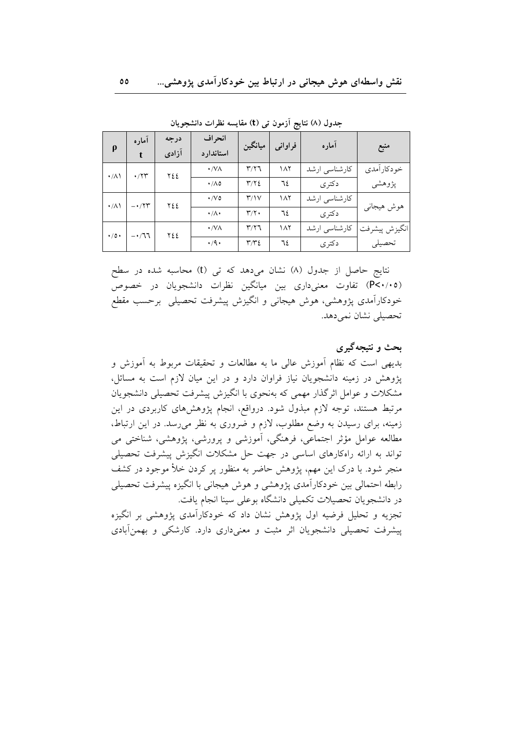| $\boldsymbol{\rho}$ | آماره<br>$\mathbf{t}$             | درجه<br>آزادى   | انحراف<br>استاندارد       | ميانگين                 | فراواني | آماره         | منبع          |
|---------------------|-----------------------------------|-----------------|---------------------------|-------------------------|---------|---------------|---------------|
| $\cdot/\lambda$     | $\cdot$ /۲۳                       | ٢٤٤             | $\cdot$ /VA               | $\mathbf{r}/\mathbf{r}$ | ۱۸۲     | كارشناسي ارشد | خو دکار آمدی  |
|                     |                                   |                 | $\cdot/\Lambda$ 0         | $\Upsilon/\Upsilon$     | ٦٤      | دکتر ی        | پژوهشي        |
| $\cdot/\wedge$      | $- \cdot / \mathbf{Y} \mathbf{Y}$ | ٢٤٤             | $\cdot$ /V $\circ$        | $\mathsf{r}/\mathsf{v}$ | ۱۸۲     | كارشناسي ارشد |               |
|                     |                                   | $\cdot/\Lambda$ | $\mathbf{r}/\mathbf{r}$ . | ٦٤                      | دکتر ی  | هوش هيجاني    |               |
| $\cdot/$ 0 $\cdot$  |                                   | $-1.71$<br>٢٤٤  | $\cdot$ /VA               | $\mathsf{r}/\mathsf{r}$ | ۱۸۲     | كارشناسي ارشد | انگيزش پيشرفت |
|                     |                                   |                 | $\cdot$ /9 $\cdot$        | $\tau/\tau$ ٤           | ٦٤      | دکتر ی        | تحصيلي        |

جدول (٨) نتايج ازمون تي (t) مقايسه نظرات دانشجويان

نتايج حاصل از جدول (٨) نشان مىدهد كه تى (t) محاسبه شده در سطح (P<۰/۰۵) تفاوت معنیداری بین میانگین نظرات دانشجویان در خصوص خودکارآمدی پژوهشی، هوش هیجانی و انگیزش پیشرفت تحصیلی برحسب مقطع تحصيلي نشان نمي دهد.

بحث و نتيجهگيري

بدیهی است که نظام اَموزش عالی ما به مطالعات و تحقیقات مربوط به اَموزش و پژوهش در زمینه دانشجویان نیاز فراوان دارد و در این میان لازم است به مسائل، مشکلات و عوامل اثرگذار مهمی که بهنحوی با انگیزش پیشرفت تحصیلی دانشجویان مرتبط هستند، توجه لازم مبذول شود. درواقع، انجام پژوهشهای کاربردی در این زمینه، برای رسیدن به وضع مطلوب، لازم و ضروری به نظر می رسد. در این ارتباط، مطالعه عوامل مؤثر اجتماعی، فرهنگی، آموزشی و پرورشی، پژوهشی، شناختی می تواند به ارائه راهکارهای اساسی در جهت حل مشکلات انگیزش پیشرفت تحصیلی منجر شود. با درک این مهم، پژوهش حاضر به منظور پر کردن خلأ موجود در کشف رابطه احتمالي بين خودكارآمدي يژوهشي و هوش هيجاني با انگيزه پيشرفت تحصيلي در دانشجویان تحصیلات تکمیلی دانشگاه بوعلی سینا انجام یافت. تجزیه و تحلیل فرضیه اول پژوهش نشان داد که خودکارآمدی پژوهشی بر انگیزه پیشرفت تحصیلی دانشجویان اثر مثبت و معنیداری دارد. کارشکی و بهمنآبادی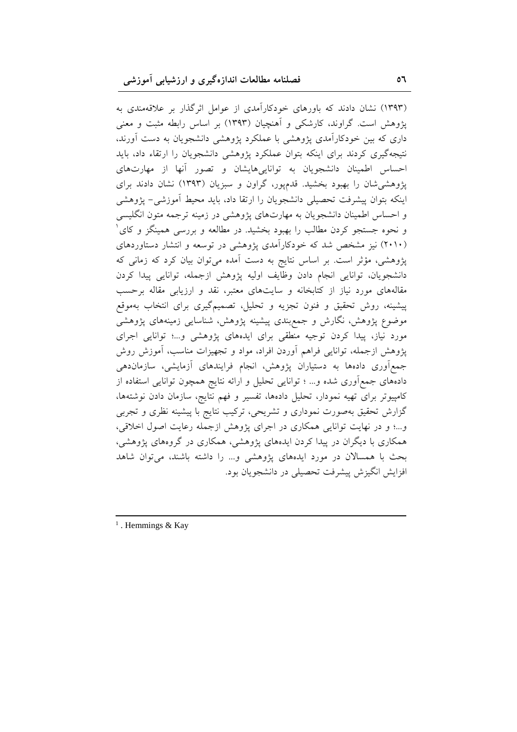(۱۳۹۳) نشان دادند که باورهای خودکارآمدی از عوامل اثرگذار بر علاقهمندی به یژوهش است. گراوند، کارشکی و آهنچیان (۱۳۹۳) بر اساس رابطه مثبت و معنی داری که بین خودکارآمدی پژوهشی با عملکرد پژوهشی دانشجویان به دست آورند، نتیجهگیری کردند برای اینکه بتوان عملکرد پژوهشی دانشجویان را ارتقاء داد، باید احساس اطمینان دانشجویان به تواناییهایشان و تصور آنها از مهارتهای پژوهشی شان را بهبود بخشید. قدمپور، گراون و سبزیان (۱۳۹۳) نشان دادند برای اينكه بتوان پيشرفت تحصيلي دانشجويان را ارتقا داد، بايد محيط أموزشي- پژوهشي و احساس اطمینان دانشجویان به مهارتهای پژوهشی در زمینه ترجمه متون انگلیسی و نحوه جستجو کردن مطالب را بهبود بخشید. در مطالعه و بررسی همینگز و کای ا (۲۰۱۰) نیز مشخص شد که خودکارآمدی پژوهشی در توسعه و انتشار دستاوردهای پژوهشی، مؤثر است. بر اساس نتایج به دست آمده میتوان بیان کرد که زمانی که دانشجویان، توانایی انجام دادن وظایف اولیه پژوهش ازجمله، توانایی پیدا کردن مقالههای مورد نیاز از کتابخانه و سایتهای معتبر، نقد و ارزیابی مقاله برحسب پیشینه، روش تحقیق و فنون تجزیه و تحلیل، تصمیمگیری برای انتخاب بهموقع موضوع پژوهش، نگارش و جمع،بندی پیشینه پژوهش، شناسایی زمینههای پژوهشی مورد نیاز، پیدا کردن توجیه منطقی برای ایدههای پژوهشی و...؛ توانایی اجرای پژوهش ازجمله، توانایی فراهم آوردن افراد، مواد و تجهیزات مناسب، آموزش روش جمع آوری دادهها به دستیاران پژوهش، انجام فرایندهای آزمایشی، سازماندهی دادههای جمع اَوری شده و… ؛ توانایی تحلیل و ارائه نتایج همچون توانایی استفاده از كامپيوتر براي تهيه نمودار، تحليل دادهها، تفسير و فهم نتايج، سازمان دادن نوشتهها، گزارش تحقیق بهصورت نموداری و تشریحی، ترکیب نتایج با پیشینه نظری و تجربی و…؛ و در نهایت توانایی همکاری در اجرای پژوهش ازجمله رعایت اصول اخلاقی، همکاری با دیگران در پیدا کردن ایدههای پژوهشی، همکاری در گروههای پژوهشی، بحث با همسالان در مورد ایدههای پژوهشی و... را داشته باشند، می توان شاهد افزايش انگيزش پيشرفت تحصيلي در دانشجويان بود.

 $1$ . Hemmings & Kay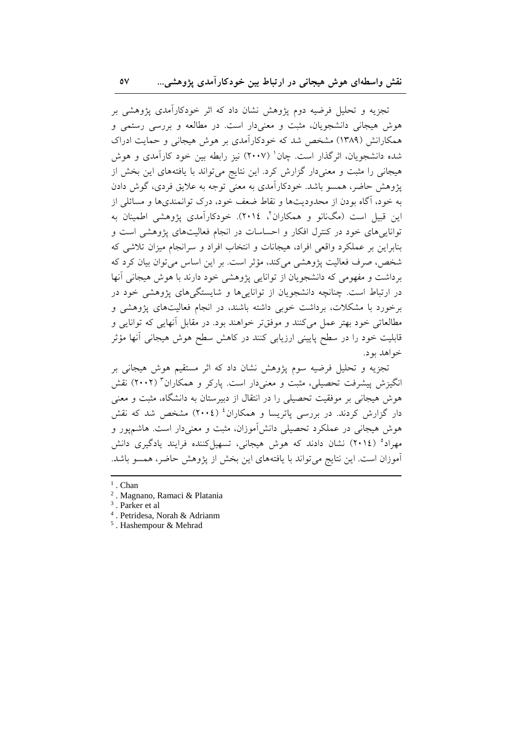تجزیه و تحلیل فرضیه دوم پژوهش نشان داد که اثر خودکارآمدی پژوهشی بر هوش هیجانی دانشجویان، مثبت و معنیدار است. در مطالعه و بررسی رستمی و همکارانش (۱۳۸۹) مشخص شد که خودکارآمدی بر هوش هیجانی و حمایت ادراک شده دانشجویان، اثرگذار است. چان` (۲۰۰۷) نیز رابطه بین خود کارآمدی و هوش هیجانی را مثبت و معنیدار گزارش کرد. این نتایج میتواند با یافتههای این بخش از يژوهش حاضر، همسو باشد. خودکارآمدي به معنى توجه به علايق فردي، گوش دادن به خود، آگاه بودن از محدودیتها و نقاط ضعف خود، درک توانمندیها و مسائلی از ابن قبيل است (مگانانو و همكاران"، ٢٠١٤). خودكارآمدي پژوهشي اطمينان به تواناییهای خود در کنترل افکار و احساسات در انجام فعالیتهای پژوهشی است و بنابراين بر عملكرد واقعي افراد، هيجانات و انتخاب افراد و سرانجام ميزان تلاشي كه شخص، صرف فعالیت پژوهشی می کند، مؤثر است. بر این اساس می توان بیان کرد که برداشت و مفهومی که دانشجویان از توانایی پژوهشی خود دارند با هوش هیجانی آنها در ارتباط است. چنانچه دانشجویان از توانایی ها و شایستگی های پژوهشی خود در برخورد با مشکلات، برداشت خوبی داشته باشند، در انجام فعالیتهای پژوهشی و مطالعاتي خود بهتر عمل مي كنند و موفقتر خواهند بود. در مقابل آنهايي كه توانايي و قابلیت خود را در سطح پایینی ارزیابی کنند در کاهش سطح هوش هیجانی آنها مؤثر خواهد پود.

تجزیه و تحلیل فرضیه سوم پژوهش نشان داد که اثر مستقیم هوش هیجانی بر انگیزش پیشرفت تحصیلی، مثبت و معنیدار است. پارکر و همکاران<sup>۳</sup> (۲۰۰۲) نقش هوش هیجانی بر موفقیت تحصیلی را در انتقال از دبیرستان به دانشگاه، مثبت و معنی دار گزارش کردند. در بررسی پاتریسا و همکاران<sup>؛</sup> (٢٠٠٤) مشخص شد که نقش هوش هیجانی در عملکرد تحصیلی دانشآموزان، مثبت و معنیدار است. هاشمپور و مهراد<sup>ه</sup> (٢٠١٤) نشان دادند كه هوش هيجاني، تسهيل كننده فرايند يادگيري دانش أموزان است. این نتایج میتواند با یافتههای این بخش از پژوهش حاضر، همسو باشد.

 $^5$ . Hashempour & Mehrad

 $<sup>1</sup>$ . Chan</sup>

<sup>&</sup>lt;sup>2</sup>. Magnano, Ramaci & Platania

<sup>&</sup>lt;sup>3</sup>. Parker et al

<sup>&</sup>lt;sup>4</sup>. Petridesa, Norah & Adrianm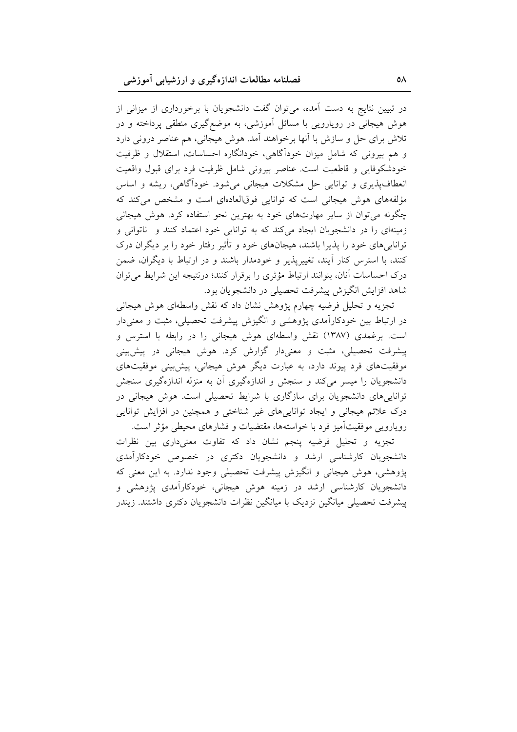در تبیین نتایج به دست آمده، میتوان گفت دانشجویان با برخورداری از میزانی از هوش هیجانی در رویارویی با مسائل آموزشی، به موضع گیری منطقی پرداخته و در تلاش برای حل و سازش با آنها برخواهند آمد. هوش هیجانی، هم عناصر درونی دارد و هم بیرونی که شامل میزان خودآگاهی، خودانگاره احساسات، استقلال و ظرفیت خودشکوفایی و قاطعیت است. عناصر بیرونی شامل ظرفیت فرد برای قبول واقعیت انعطاف پذیری و توانایی حل مشکلات هیجانی میشود. خوداًگاهی، ریشه و اساس مؤلفههای هوش هیجانی است که توانایی فوقالعادهای است و مشخص میکند که چگونه میتوان از سایر مهارتهای خود به بهترین نحو استفاده کرد. هوش هیجانی زمینهای را در دانشجویان ایجاد میکند که به توانایی خود اعتماد کنند و ناتوانی و توانایی های خود را پذیرا باشند، هیجانهای خود و تأثیر رفتار خود را بر دیگران درک کنند، با استرس کنار آیند، تغییریذیر و خودمدار باشند و در ارتباط با دیگران، ضمن درک احساسات آنان، بتوانند ارتباط مؤثری را برقرار کنند؛ درنتیجه این شرایط می توان شاهد افزایش انگیزش پیشرفت تحصیلی در دانشجویان بود.

تجزیه و تحلیل فرضیه چهارم پژوهش نشان داد که نقش واسطهای هوش هیجانی در ارتباط بین خودکارآمدی پژوهشی و انگیزش پیشرفت تحصیلی، مثبت و معنیدار است. برغمدی (۱۳۸۷) نقش واسطهای هوش هیجانی را در رابطه با استرس و پیشرفت تحصیلی، مثبت و معنیدار گزارش کرد. هوش هیجانی در پیش بینی موفقیتهای فرد پیوند دارد، به عبارت دیگر هوش هیجانی، پیش بینی موفقیتهای دانشجویان را میسر میکند و سنجش و اندازهگیری آن به منزله اندازهگیری سنجش تواناییهای دانشجویان برای سازگاری با شرایط تحصیلی است. هوش هیجانی در درک علائم هیجانی و ایجاد تواناییهای غیر شناختی و همچنین در افزایش توانایی رویارویی موفقیتآمیز فرد با خواستهها، مقتضیات و فشارهای محیطی مؤثر است.

تجزیه و تحلیل فرضیه پنجم نشان داد که تفاوت معنیداری بین نظرات دانشجویان کارشناسی ارشد و دانشجویان دکتری در خصوص خودکارآمدی پژوهشی، هوش هیجانی و انگیزش پیشرفت تحصیلی وجود ندارد. به این معنی که دانشجویان کارشناسی ارشد در زمینه هوش هیجانی، خودکارآمدی پژوهشی و پیشرفت تحصیلی میانگین نزدیک با میانگین نظرات دانشجویان دکتری داشتند. زیندر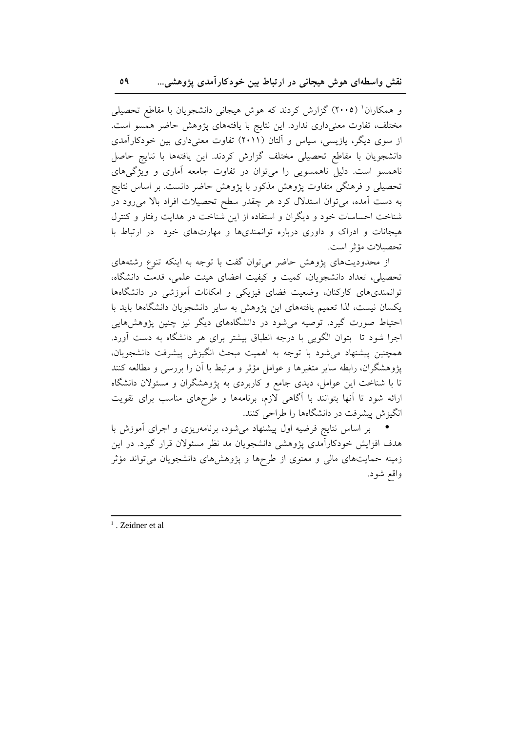و همکاران' (۲۰۰۵) گزارش کردند که هوش هیجانی دانشجویان با مقاطع تحصیلی مختلف، تفاوت معنىدارى ندارد. اين نتايج با يافتههاى پژوهش حاضر همسو است. از سوی دیگر، یازیسی، سیاس و آلتان (۲۰۱۱) تفاوت معنیداری بین خودکارآمدی دانشجویان با مقاطع تحصیلی مختلف گزارش کردند. این یافتهها با نتایج حاصل ناهمسو است. دلیل ناهمسویی را میتوان در تفاوت جامعه آماری و ویژگیهای تحصیلی و فرهنگی متفاوت یژوهش مذکور با یژوهش حاضر دانست. بر اساس نتایج به دست آمده، می توان استدلال کرد هر چقدر سطح تحصیلات افراد بالا می رود در شناخت احساسات خود و دیگران و استفاده از این شناخت در هدایت رفتار و کنترل هیجانات و ادراک و داوری درباره توانمندیها و مهارتهای خود ً در ارتباط با تحصيلات مؤثر است.

از محدودیتهای پژوهش حاضر می توان گفت با توجه به اینکه تنوع رشتههای تحصیلی، تعداد دانشجویان، کمیت و کیفیت اعضای هیئت علمی، قدمت دانشگاه، توانمندیهای کارکنان، وضعیت فضای فیزیکی و امکانات آموزشی در دانشگاهها یکسان نیست، لذا تعمیم یافتههای این پژوهش به سایر دانشجویان دانشگاهها باید با احتیاط صورت گیرد. توصیه می شود در دانشگاههای دیگر نیز چنین پژوهشهایی اجرا شود تا بتوان الگویی با درجه انطباق بیشتر برای هر دانشگاه به دست آورد. همچنین پیشنهاد می شود با توجه به اهمیت مبحث انگیزش پیشرفت دانشجویان، پژوهشگران، رابطه سایر متغیرها و عوامل مؤثر و مرتبط با آن را بررسی و مطالعه کنند تا با شناخت این عوامل، دیدی جامع و کاربردی به پژوهشگران و مسئولان دانشگاه ارائه شود تا أنها بتوانند با أگاهی لازم، برنامهها و طرحهای مناسب برای تقویت انگیزش پیشرفت در دانشگاهها را طراحی کنند.

بر اساس نتایج فرضیه اول پیشنهاد میشود، برنامهریزی و اجرای أموزش با هدف افزایش خودکارآمدی پژوهشی دانشجویان مد نظر مسئولان قرار گیرد. در این زمینه حمایتهای مالی و معنوی از طرحها و پژوهشهای دانشجویان میتواند مؤثر واقع شود.

 $<sup>1</sup>$ . Zeidner et al</sup>

09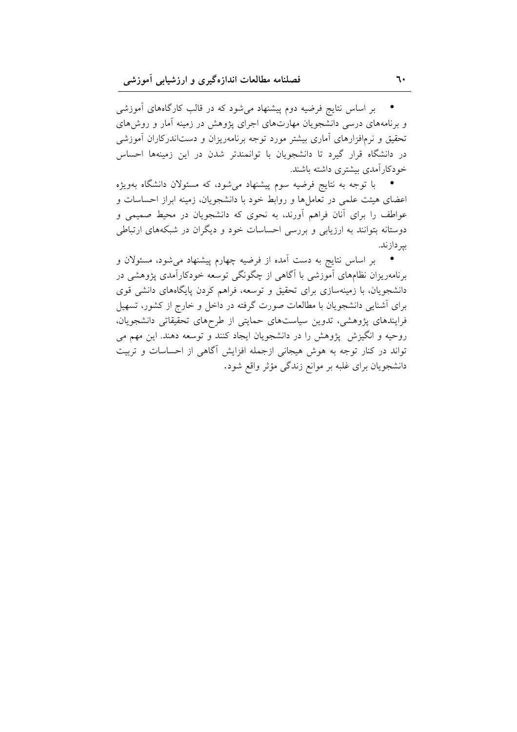بر اساس نتایج فرضیه دوم پیشنهاد می شود که در قالب کارگاههای آموزشی و برنامههای درسی دانشجویان مهارتهای اجرای پژوهش در زمینه آمار و روش های تحقیق و نرمافزارهای آماری بیشتر مورد توجه برنامهریزان و دستاندرکاران آموزشی در دانشگاه قرار گیرد تا دانشجویان با توانمندتر شدن در این زمینهها احساس خودكارآمدي بيشترى داشته باشند.

● \_ با توجه به نتایج فرضیه سوم پیشنهاد می شود، که مسئولان دانشگاه بهویژه اعضای هیئت علمی در تعاملها و روابط خود با دانشجویان، زمینه ابراز احساسات و عواطف را برای آنان فراهم آورند، به نحوی که دانشجویان در محیط صمیمی و دوستانه بتوانند به ارزیابی و بررسی احساسات خود و دیگران در شبکههای ارتباطی بیر داز ند.

بر اساس نتایج به دست آمده از فرضیه چهارم پیشنهاد میشود، مسئولان و برنامهریزان نظامهای آموزشی با آگاهی از چگونگی توسعه خودکارآمدی پژوهشی در دانشجویان، با زمینهسازی برای تحقیق و توسعه، فراهم کردن پایگاههای دانشی قوی برای آشنایی دانشجویان با مطالعات صورت گرفته در داخل و خارج از کشور، تسهیل فرایندهای پژوهشی، تدوین سیاستهای حمایتی از طرحهای تحقیقاتی دانشجویان، روحیه و انگیزش پژوهش را در دانشجویان ایجاد کنند و توسعه دهند. این مهم می تواند در کنار توجه به هوش هیجانی ازجمله افزایش آگاهی از احساسات و تربیت دانشجویان برای غلبه بر موانع زندگی مؤثر واقع شود.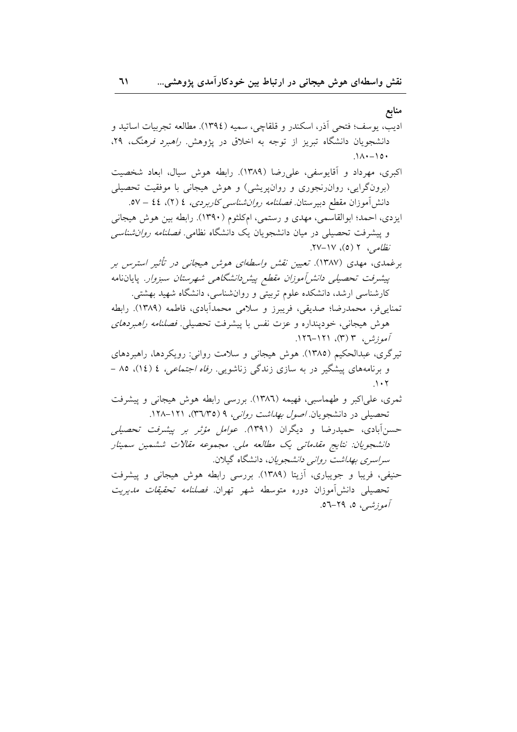منابع

اديب، يوسف؛ فتحي أذر، اسكندر و قلقاچي، سميه (١٣٩٤). مطالعه تجربيات اساتيد و دانشجویان دانشگاه تبریز از توجه به اخلاق در پژوهش *راهبرد فرهنگ*، ۲۹،  $\Lambda$   $\cdot$  -  $\circ$   $\cdot$ اکبری، مهرداد و آقایوسفی، علی رضا (۱۳۸۹). رابطه هوش سیال، ابعاد شخصیت (برونگرایی، روان رنجوری و روانپریشی) و هوش هیجانی با موفقیت تحصیلی دانش آموزان مقطع دبيرستان فصلنا*مه روان شناسي كاربردي، ٤ (*٢)، ٤٤ – ٥٧. ایزدی، احمد؛ ابوالقاسمی، مهدی و رستمی، امکلثوم (۱۳۹۰). رابطه بین هوش هیجانی و پیشرفت تحصیلی در میان دانشجویان یک دانشگاه نظامی. *فصلنامه روان شناسی* نظامی، ۲ (٥)، ۱۷-۲۷. برغمدی، مهدی (۱۳۸۷). تعیین *نقش واسطهای هوش* هیج*انی در تأثیر استرس ب*ر پیشرفت تحصی*لی دانش آموزان مقطع پیش دانشگاهی شهرستان سبزوا*ر. پایاننامه کارشناسی ارشد، دانشکده علوم تربیتی و روانشناسی، دانشگاه شهید بهشتی. تمنايي فر، محمدرضا؛ صديقي، فريبرز و سلامي محمدأبادي، فاطمه (١٣٨٩). رابطه هوش هيجاني، خودينداره و عزت نفس با پيشرفت تحصيلي. فصلنا*مه راهېردهای* آموزشر، ۳ (۳)، ۱۲۱–۱۲۲. تیرگری، عبدالحکیم (۱۳۸۵). هوش هیجانی و سلامت روانی: رویکردها، راهبردهای و برنامههای پیشگیر در به سازی زندگی زناشویی. *رفاه اجتماعی، ٤ (١٤)*، ٨٥ – ثمری، علیاکبر و طهماسبی، فهیمه (۱۳۸٦). بررسی رابطه هوش هیجانی و پیشرفت تحصیلی در دانشجویان *اصول بهداشت روانبی، ۹ (*۳٦/۳۵)، ۱۲۱–۱۲۸. حسن آبادی، حمیدرضا و دیگران (۱۳۹۱*). عوامل مؤثر بر پیشرفت تحصیلی* دانشجويان: نتايج مقدماتي يک مطالعه ملي. مجموعه مقالات ششمين سمينار *سراسري بهداشت رواني دانشجويان*، دانشگاه گيلان. حنیفی، فریبا و جویباری، آزیتا (۱۳۸۹). بررسی رابطه هوش هیجانی و پیشرفت تحصیلی دانش[موزان دوره متوسطه شهر تهران. *فصلنامه تحقیقات مدیریت آموزشي،* ٥، ٢٩-٥٦.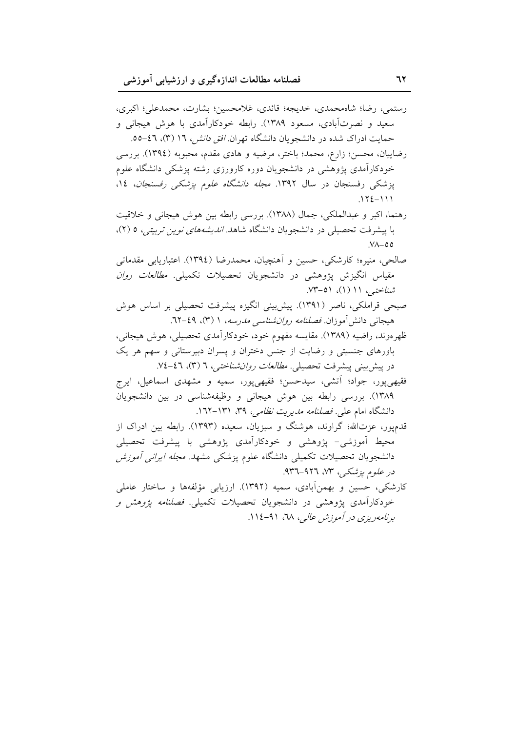رستمي، رضا؛ شاهمحمدي، خديجه؛ قائدي، غلامحسين؛ بشارت، محمدعلي؛ اكبرى، سعید و نصرتآبادی، مسعود ۱۳۸۹). رابطه خودکارآمدی با هوش هیجانی و حمایت ادراک شده در دانشجویان دانشگاه تهران *افق دانش، ۱*۲ (۳)، ٤٦-٥٥. رضاییان، محسن؛ زارع، محمد؛ باختر، مرضیه و هادی مقدم، محبوبه (١٣٩٤). بررسی خودکارآمدی پژوهشی در دانشجویان دوره کارورزی رشته پزشکی دانشگاه علوم پزشکی رفسنجان در سال ۱۳۹۲. *مجله دانشگاه علوم پزشکی رفسنجان*، ۱*٤*،  $.172 - 111$ رهنما، اكبر و عبدالملكي، جمال (١٣٨٨). بررسي رابطه بين هوش هيجاني و خلاقيت با پیشرفت تحصیلی در دانشجویان دانشگاه شاهد*. اندیشههای نوین تربیتی،* ٥ (٢)،  $Y^{\Lambda}$ -00 صالحي، منيره؛ كارشكي، حسين و اَهنچيان، محمدرضا (١٣٩٤). اعتباريابي مقدماتي مقیاس انگیزش یژوهشی در دانشجویان تحصیلات تکمیلی. *مطالعات روان* شناختبی، ۱۱ (۱)، ۵۱–۷۳. صبحی قراملکی، ناصر (۱۳۹۱). پیش بینی انگیزه پیشرفت تحصیلی بر اساس هوش هیجانی دانش آموزان *فصلنامه روان شناسی مدرسه*، ۱ (۳)، ٤٩-۲۲. ظهرەوند، راضیه (۱۳۸۹). مقایسه مفهوم خود، خودکارآمدی تحصیلی، هوش هیجانبی، باورهای جنسیتی و رضایت از جنس دختران و پسران دبیرستانی و سهم هر یک در پیشبینی پیشرفت تحصیلی. *مطالعات روان شناختی، ٦ (*٣)، ٤٦-٧٤. فقیهی پور، جواد؛ آتشی، سیدحسن؛ فقیهی پور، سمیه و مشهدی اسماعیل، ایرج ١٣٨٩). بررسي رابطه بين هوش هيجاني و وظيفهشناسي در بين دانشجويان دانشگاه امام علی ف*صلنامه مدیریت نظامی، ۳۹*، ۱۳۱–۱٦۲. قدمپور، عزتالله؛ گراوند، هوشنگ و سبزیان، سعیده (۱۳۹۳). رابطه بین ادراک از محیط أموزشی- یژوهشی و خودکارأمدی یژوهشی با پیشرفت تحصیلی دانشجویان تحصیلات تکمیلی دانشگاه علوم پزشکی مشهد. *مجله ایرانی آموزش* در علوم یزشک ، ۷۳، ۹۲۶-۹۳۲. کارشکی، حسین و بهمنآبادی، سمیه (۱۳۹۲). ارزیابی مؤلفهها و ساختار عاملی خودکارآمدی پژوهشی در دانشجویان تحصیلات تکمیلی. *فصلنامه پژوهش و* برنامه ریزی در آموزش عالی، ٦٨، ٩١-١١٤.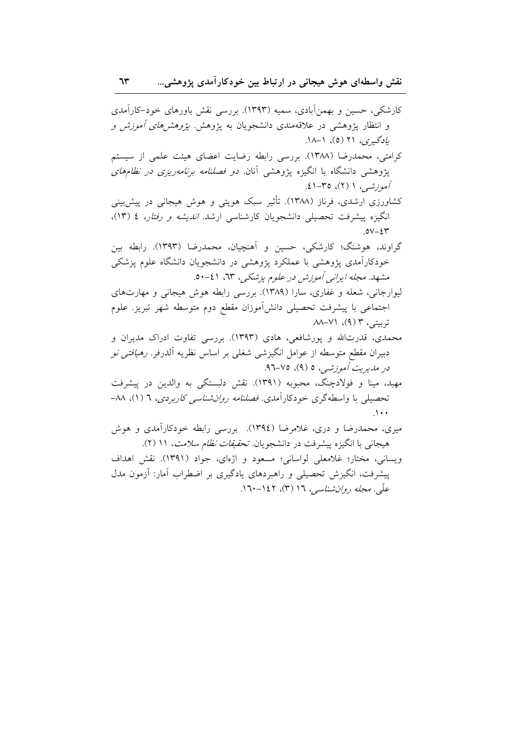کارشکی، حسین و بهمنآبادی، سمیه (۱۳۹۳). بررسی نقش باورهای خود–کارآمدی و انتظار پژوهشی در علاقهمندی دانشجویان به پژوهش *پژوهشهای أموزش و* یادگیری، ۲۱ (۵)، ۱–۱۸. کرامتی، محمدرضا (۱۳۸۸). بررسی رابطه رضایت اعضای هیئت علمی از سیستم پژوهشی دانشگاه با انگیزه پژوهشی آنان*. دو فصلنامه برنامهریزی در نظامهای* آموزشیه ۱ (۲)، ۳۵-۶۱. کشاورزی ارشدی، فرناز (۱۳۸۸). تأثیر سبک هویتی و هوش هیجانی در پیش بینی انگیزه پیشرفت تحصیلی دانشجویان کارشناسی ارشد. *اندیشه و رفتار، ٤ (*١٣)،  $.0V - \mathcal{E}Y$ گراوند، هوشنگ؛ کارشکی، حسین و آهنچیان، محمدرضا (۱۳۹۳). رابطه بین خودکارآمدی یژوهشی با عملکرد یژوهشی در دانشجویان دانشگاه علوم یزشکی مشهد. مجله ایرانی آموزش در علوم پزشکی، ٦٣، ٤١-٥٠. لیوارجانی، شعله و غفاری، سارا (۱۳۸۹). بررسی رابطه هوش هیجانی و مهارتهای اجتماعی با پیشرفت تحصیلی دانشآموزان مقطع دوم متوسطه شهر تبریز. علوم تربيتي، ٣ (٩)، ٧١-٨٨. محمدی، قدرتالله و پورشافعی، هادی (۱۳۹۳). بررسی تفاوت ادراک مدیران و دبیران مقطع متوسطه از عوامل انگیزشی شغلی بر اساس نظریه آلدرفر. *رهیافتی نو* در *مدي*ريت *آموزشي*، ٥ (٩)، ٧٥-٩٦. مهبد، مینا و فولادچنگ، محبوبه (۱۳۹۱). نقش دلبستگی به والدین در پیشرفت تحصیلی با واسطهگری خودکارآمدی. فص*لنامه روان شناسی کاربردی*، ٦ (۱)، ٨٨- $\Lambda$ میری، محمدرضا و دری، غلامرضا (١٣٩٤). بررسی رابطه خودکارآمدی و هوش هیجانی با انگیزه پیشرفت در دانشجویان *تحقیقات نظام سلامت*، ۱۱ (۲).

ویسانی، مختار؛ غلامعلی لواسانی؛ مسعود و اژهای، جواد (۱۳۹۱). نقش اهداف پیشرفت، انگیزش تحصیلی و راهبردهای یادگیری بر اضطراب آمار: آزمون مدل علّی. *مجله روان شناسی*، ۱۲ (۳)، ۱۶۲–۱۶۰.

 $75$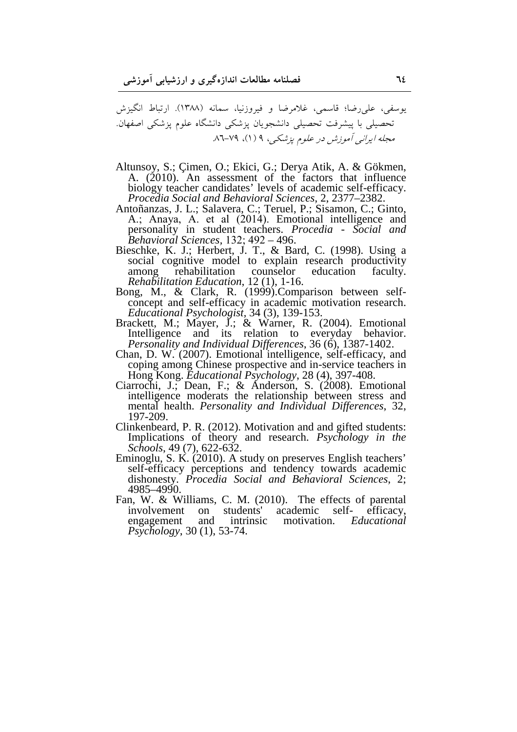یوسفی، علیرضا؛ قاسمی، غلامرضا و فیروزنیا، سمانه (۱۳۸۸). ارتباط انگیزش تحصیلی با پیشرفت تحصیلی دانشجویان پزشکی دانشگاه علوم پزشکی اصفهان. مجله ایرانی آموزش در علوم پزشکی، ۹ (۱)، ۷۹-۸٦.

- Altunsoy, S.; Çimen, O.; Ekici, G.; Derya Atik, A. & Gökmen, A. (2010). An assessment of the factors that influence biology teacher candidates' levels of academic self-efficacy. *Procedia Social and Behavioral Sciences*, 2, 2377–2382.
- Antoñanzas, J. L.; Salavera, C.; Teruel, P.; Sisamon, C.; Ginto, A.; Anaya, A. et al (2014). Emotional intelligence and personality in student teachers. *Procedia - Social and Behavioral Sciences,* 132; 492 – 496.
- Bieschke, K. J.; Herbert, J. T., & Bard, C. (1998). Using a social cognitive model to explain research productivity<br>among rehabilitation counselor education faculty. among rehabilitation counselor education faculty. *Rehabilitation Education*, 12 (1), 1-16.
- Bong, M., & Clark, R. (1999).Comparison between selfconcept and self-efficacy in academic motivation research. *Educational Psychologist,* 34 (3), 139-153.
- Brackett, M.; Mayer, J.; & Warner, R. (2004). Emotional Intelligence and its relation to everyday behavior. *Personality and Individual Differences*, 36 (6), 1387-1402.
- Chan, D. W. (2007). Emotional intelligence, self-efficacy, and coping among Chinese prospective and in-service teachers in Hong Kong. *Educational Psychology*, 28 (4), 397-408.
- Ciarrochi, J.; Dean, F.; & Anderson, S. (2008). Emotional intelligence moderats the relationship between stress and mental health. *Personality and Individual Differences*, 32, 197-209.
- Clinkenbeard, P. R. (2012). Motivation and and gifted students: Implications of theory and research. *Psychology in the Schools*, 49 (7), 622-632.
- Eminoglu, S. K. (2010). A study on preserves English teachers' self-efficacy perceptions and tendency towards academic dishonesty. *Procedia Social and Behavioral Sciences*, 2; 4985–4990.
- Fan, W. & Williams, C. M. (2010). The effects of parental involvement on students' academic self-efficacy. academic self- efficacy,<br>motivation. Educational engagement and intrinsic *Psychology*, 30 (1), 53-74.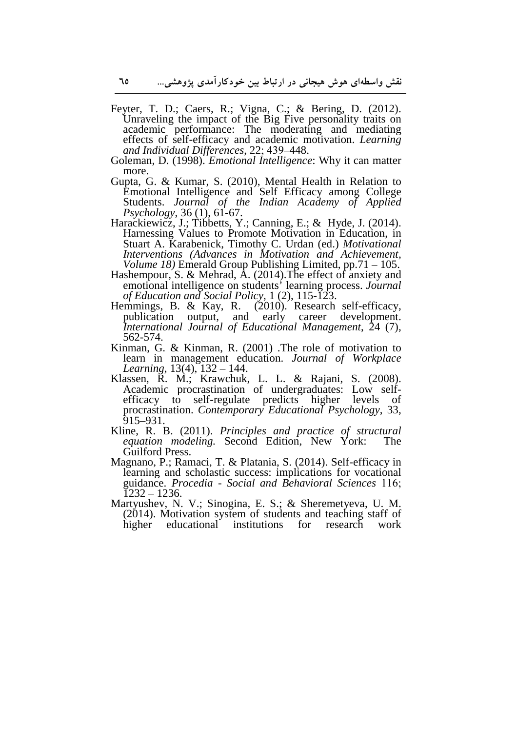- Feyter, T. D.; Caers, R.; Vigna, C.; & Bering, D. (2012). Unraveling the impact of the Big Five personality traits on academic performance: The moderating and mediating effects of self-efficacy and academic motivation. *Learning and Individual Differences*, 22; 439–448.
- Goleman, D. (1998). *Emotional Intelligence*: Why it can matter more.
- Gupta, G. & Kumar, S. (2010), Mental Health in Relation to Emotional Intelligence and Self Efficacy among College Students. *Journal of the Indian Academy of Applied Psychology*, 36 (1), 61-67.
- Harackiewicz, J.; Tibbetts, Y.; Canning, E.; & Hyde, J. (2014). Harnessing Values to Promote Motivation in Education, in Stuart A. Karabenick, Timothy C. Urdan (ed.) *Motivational Interventions (Advances in Motivation and Achievement, Volume 18)* Emerald Group Publishing Limited, pp.71 – 105.
- Hashempour, S. & Mehrad, A. (2014).The effect of anxiety and emotional intelligence on students' learning process. *Journal of Education and Social Policy*, 1 (2), 115-123.
- Hemmings, B. & Kay, R. (2010). Research self-efficacy, publication output, and early career development. *International Journal of Educational Management*, 24 (7), 562-574.
- Kinman, G. & Kinman, R. (2001) .The role of motivation to learn in management education. *Journal of Workplace Learning*, 13(4), 132 – 144.
- Klassen, R. M.; Krawchuk, L. L. & Rajani, S. (2008). Academic procrastination of undergraduates: Low selfefficacy to self-regulate predicts higher levels of procrastination. *Contemporary Educational Psychology*, 33, 915–931.
- Kline, R. B. (2011). *Principles and practice of structural equation modeling.* Second Edition, New York: The Guilford Press.
- Magnano, P.; Ramaci, T. & Platania, S. (2014). Self-efficacy in learning and scholastic success: implications for vocational guidance. *Procedia - Social and Behavioral Sciences* 116; 1232 – 1236.
- Martyushev, N. V.; Sinogina, E. S.; & Sheremetyeva, U. M.  $(2014)$ . Motivation system of students and teaching staff of higher educational institutions for research work educational institutions for research work

**70**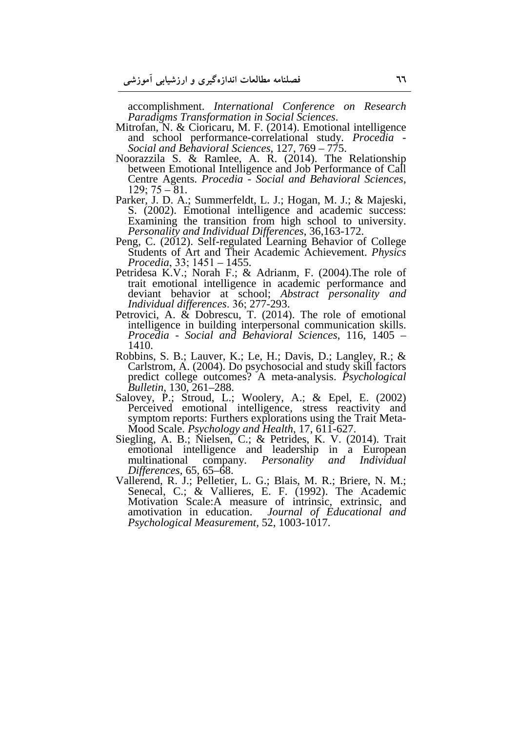accomplishment. *International Conference on Research Paradigms Transformation in Social Sciences*.

- Mitrofan, N. & Cioricaru, M. F. (2014). Emotional intelligence and school performance-correlational study. *Procedia - Social and Behavioral Sciences*, 127, 769 – 775.
- Noorazzila S. & Ramlee, A. R. (2014). The Relationship between Emotional Intelligence and Job Performance of Call Centre Agents. *Procedia - Social and Behavioral Sciences*,  $129; 75 - 81.$
- Parker, J. D. A.; Summerfeldt, L. J.; Hogan, M. J.; & Majeski, S. (2002). Emotional intelligence and academic success: Examining the transition from high school to university. *Personality and Individual Differences*, 36,163-172.
- Peng, C. (2012). Self-regulated Learning Behavior of College Students of Art and Their Academic Achievement. *Physics Procedia*, 33; 1451 – 1455.
- Petridesa K.V.; Norah F.; & Adrianm, F. (2004). The role of trait emotional intelligence in academic performance and deviant behavior at school; *Abstract personality and Individual differences*. 36; 277-293.
- Petrovici, A. & Dobrescu, T. (2014). The role of emotional intelligence in building interpersonal communication skills. *Procedia - Social and Behavioral Sciences*, 116, 1405 – 1410.
- Robbins, S. B.; Lauver, K.; Le, H.; Davis, D.; Langley, R.; & Carlstrom, A. (2004). Do psychosocial and study skill factors predict college outcomes? A meta-analysis. *Psychological Bulletin*, 130, 261–288.
- Salovey, P.; Stroud, L.; Woolery, A.; & Epel, E. (2002) Perceived emotional intelligence, stress reactivity and symptom reports: Furthers explorations using the Trait Meta-Mood Scale. *Psychology and Health*, 17, 611-627.
- Siegling, A. B.; Nielsen, C.; & Petrides, K. V. (2014). Trait emotional intelligence and leadership in a European multinational company. *Personality and Individual Personality and Individual Differences,* 65, 65–68.
- Vallerend, R. J.; Pelletier, L. G.; Blais, M. R.; Briere, N. M.; Senecal, C.; & Vallieres, E. F. (1992). The Academic Motivation Scale:A measure of intrinsic, extrinsic, and amotivation in education. *Journal of Educational and Psychological Measurement,* 52, 1003-1017.